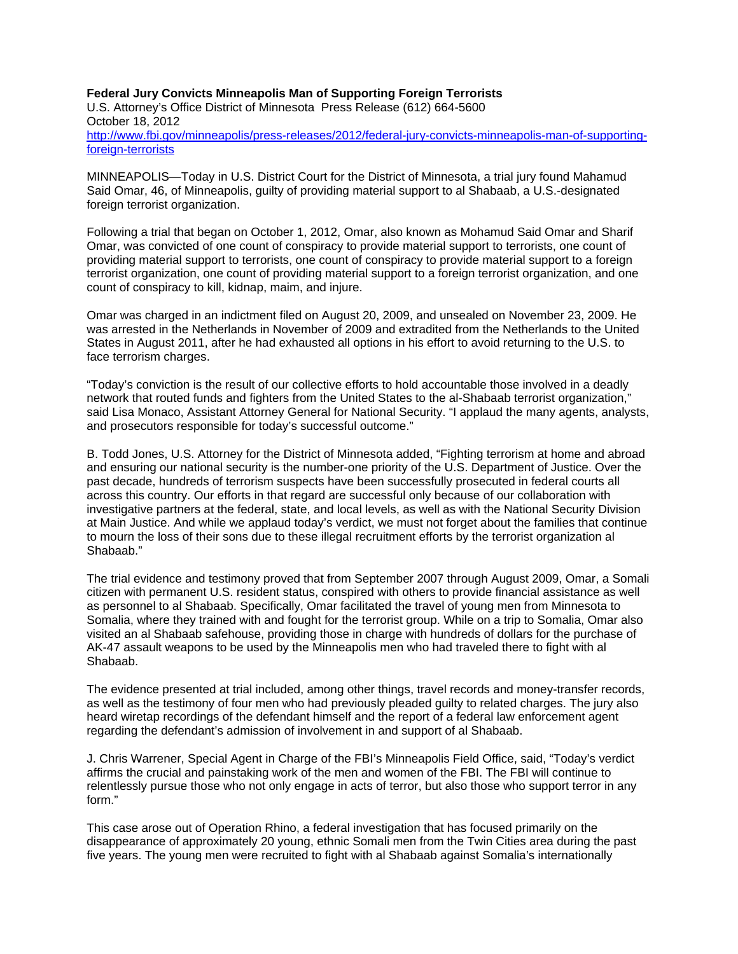**Federal Jury Convicts Minneapolis Man of Supporting Foreign Terrorists**  U.S. Attorney's Office District of Minnesota Press Release (612) 664-5600 October 18, 2012 http://www.fbi.gov/minneapolis/press-releases/2012/federal-jury-convicts-minneapolis-man-of-supportingforeign-terrorists

MINNEAPOLIS—Today in U.S. District Court for the District of Minnesota, a trial jury found Mahamud Said Omar, 46, of Minneapolis, guilty of providing material support to al Shabaab, a U.S.-designated foreign terrorist organization.

Following a trial that began on October 1, 2012, Omar, also known as Mohamud Said Omar and Sharif Omar, was convicted of one count of conspiracy to provide material support to terrorists, one count of providing material support to terrorists, one count of conspiracy to provide material support to a foreign terrorist organization, one count of providing material support to a foreign terrorist organization, and one count of conspiracy to kill, kidnap, maim, and injure.

Omar was charged in an indictment filed on August 20, 2009, and unsealed on November 23, 2009. He was arrested in the Netherlands in November of 2009 and extradited from the Netherlands to the United States in August 2011, after he had exhausted all options in his effort to avoid returning to the U.S. to face terrorism charges.

"Today's conviction is the result of our collective efforts to hold accountable those involved in a deadly network that routed funds and fighters from the United States to the al-Shabaab terrorist organization," said Lisa Monaco, Assistant Attorney General for National Security. "I applaud the many agents, analysts, and prosecutors responsible for today's successful outcome."

B. Todd Jones, U.S. Attorney for the District of Minnesota added, "Fighting terrorism at home and abroad and ensuring our national security is the number-one priority of the U.S. Department of Justice. Over the past decade, hundreds of terrorism suspects have been successfully prosecuted in federal courts all across this country. Our efforts in that regard are successful only because of our collaboration with investigative partners at the federal, state, and local levels, as well as with the National Security Division at Main Justice. And while we applaud today's verdict, we must not forget about the families that continue to mourn the loss of their sons due to these illegal recruitment efforts by the terrorist organization al Shabaab."

The trial evidence and testimony proved that from September 2007 through August 2009, Omar, a Somali citizen with permanent U.S. resident status, conspired with others to provide financial assistance as well as personnel to al Shabaab. Specifically, Omar facilitated the travel of young men from Minnesota to Somalia, where they trained with and fought for the terrorist group. While on a trip to Somalia, Omar also visited an al Shabaab safehouse, providing those in charge with hundreds of dollars for the purchase of AK-47 assault weapons to be used by the Minneapolis men who had traveled there to fight with al Shabaab.

The evidence presented at trial included, among other things, travel records and money-transfer records, as well as the testimony of four men who had previously pleaded guilty to related charges. The jury also heard wiretap recordings of the defendant himself and the report of a federal law enforcement agent regarding the defendant's admission of involvement in and support of al Shabaab.

J. Chris Warrener, Special Agent in Charge of the FBI's Minneapolis Field Office, said, "Today's verdict affirms the crucial and painstaking work of the men and women of the FBI. The FBI will continue to relentlessly pursue those who not only engage in acts of terror, but also those who support terror in any form."

This case arose out of Operation Rhino, a federal investigation that has focused primarily on the disappearance of approximately 20 young, ethnic Somali men from the Twin Cities area during the past five years. The young men were recruited to fight with al Shabaab against Somalia's internationally